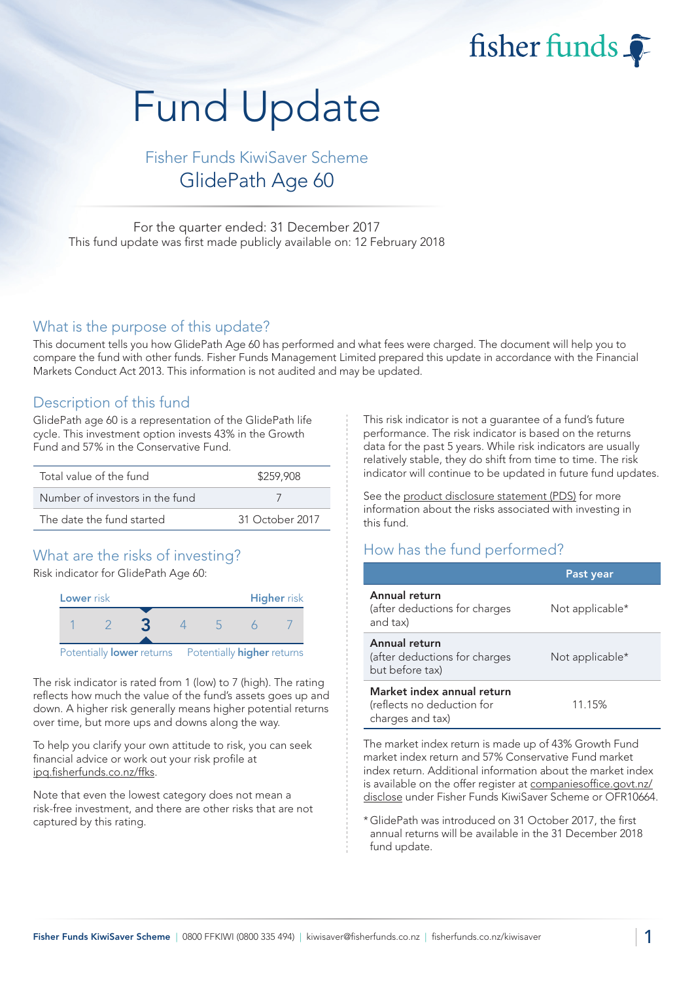fisher funds

# Fund Update

# Fisher Funds KiwiSaver Scheme GlidePath Age 60

For the quarter ended: 31 December 2017 This fund update was first made publicly available on: 12 February 2018

## What is the purpose of this update?

This document tells you how GlidePath Age 60 has performed and what fees were charged. The document will help you to compare the fund with other funds. Fisher Funds Management Limited prepared this update in accordance with the Financial Markets Conduct Act 2013. This information is not audited and may be updated.

## Description of this fund

GlidePath age 60 is a representation of the GlidePath life cycle. This investment option invests 43% in the Growth Fund and 57% in the Conservative Fund.

| Total value of the fund         | \$259,908       |
|---------------------------------|-----------------|
| Number of investors in the fund |                 |
| The date the fund started       | 31 October 2017 |

## What are the risks of investing?

Risk indicator for GlidePath Age 60:



The risk indicator is rated from 1 (low) to 7 (high). The rating reflects how much the value of the fund's assets goes up and down. A higher risk generally means higher potential returns over time, but more ups and downs along the way.

To help you clarify your own attitude to risk, you can seek financial advice or work out your risk profile at ipq.fisherfunds.co.nz/ffks.

Note that even the lowest category does not mean a risk-free investment, and there are other risks that are not captured by this rating.

This risk indicator is not a guarantee of a fund's future performance. The risk indicator is based on the returns data for the past 5 years. While risk indicators are usually relatively stable, they do shift from time to time. The risk indicator will continue to be updated in future fund updates.

See the product disclosure statement (PDS) for more information about the risks associated with investing in this fund.

## How has the fund performed?

|                                                                              | Past year       |
|------------------------------------------------------------------------------|-----------------|
| Annual return<br>(after deductions for charges<br>and tax)                   | Not applicable* |
| Annual return<br>(after deductions for charges<br>but before tax)            | Not applicable* |
| Market index annual return<br>(reflects no deduction for<br>charges and tax) | 11.15%          |

The market index return is made up of 43% Growth Fund market index return and 57% Conservative Fund market index return. Additional information about the market index is available on the offer register at companiesoffice.govt.nz/ disclose under Fisher Funds KiwiSaver Scheme or OFR10664.

\*GlidePath was introduced on 31 October 2017, the first annual returns will be available in the 31 December 2018 fund update.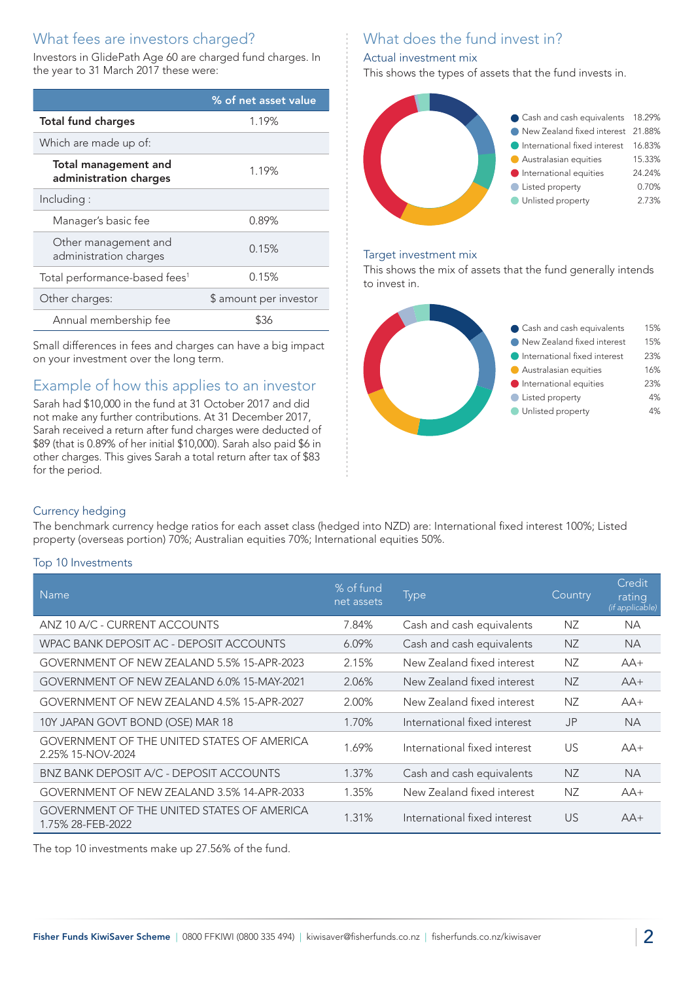# What fees are investors charged?

Investors in GlidePath Age 60 are charged fund charges. In the year to 31 March 2017 these were:

|                                                       | % of net asset value   |  |
|-------------------------------------------------------|------------------------|--|
| <b>Total fund charges</b>                             | 1.19%                  |  |
| Which are made up of:                                 |                        |  |
| <b>Total management and</b><br>administration charges | 1.19%                  |  |
| Including:                                            |                        |  |
| Manager's basic fee                                   | 0.89%                  |  |
| Other management and<br>administration charges        | 0.15%                  |  |
| Total performance-based fees <sup>1</sup>             | 0.15%                  |  |
| Other charges:                                        | \$ amount per investor |  |
| Annual membership fee                                 | \$36                   |  |

Small differences in fees and charges can have a big impact on your investment over the long term.

## Example of how this applies to an investor

Sarah had \$10,000 in the fund at 31 October 2017 and did not make any further contributions. At 31 December 2017, Sarah received a return after fund charges were deducted of \$89 (that is 0.89% of her initial \$10,000). Sarah also paid \$6 in other charges. This gives Sarah a total return after tax of \$83 for the period.

# What does the fund invest in?

#### Actual investment mix

This shows the types of assets that the fund invests in.



#### Target investment mix

This shows the mix of assets that the fund generally intends to invest in.



#### Currency hedging

The benchmark currency hedge ratios for each asset class (hedged into NZD) are: International fixed interest 100%; Listed property (overseas portion) 70%; Australian equities 70%; International equities 50%.

#### Top 10 Investments

| <b>Name</b>                                                            | % of fund<br>net assets | <b>Type</b>                  | Country        | <b>Credit</b><br>rating<br>(if applicable) |
|------------------------------------------------------------------------|-------------------------|------------------------------|----------------|--------------------------------------------|
| ANZ 10 A/C - CURRENT ACCOUNTS                                          | 7.84%                   | Cash and cash equivalents    | NZ.            | <b>NA</b>                                  |
| WPAC BANK DEPOSIT AC - DEPOSIT ACCOUNTS                                | 6.09%                   | Cash and cash equivalents    | <b>NZ</b>      | <b>NA</b>                                  |
| GOVERNMENT OF NEW ZEALAND 5.5% 15-APR-2023                             | 2.15%                   | New Zealand fixed interest   | NZ             | $AA+$                                      |
| GOVERNMENT OF NEW ZEALAND 6.0% 15-MAY-2021                             | 2.06%                   | New Zealand fixed interest   | <b>NZ</b>      | $AA+$                                      |
| GOVERNMENT OF NEW ZEALAND 4.5% 15-APR-2027                             | 2.00%                   | New Zealand fixed interest   | NZ             | $AA+$                                      |
| 10Y JAPAN GOVT BOND (OSE) MAR 18                                       | 1.70%                   | International fixed interest | J <sub>P</sub> | <b>NA</b>                                  |
| <b>GOVERNMENT OF THE UNITED STATES OF AMERICA</b><br>2.25% 15-NOV-2024 | 1.69%                   | International fixed interest | US.            | $AA+$                                      |
| BNZ BANK DEPOSIT A/C - DEPOSIT ACCOUNTS                                | 1.37%                   | Cash and cash equivalents    | NZ.            | NA.                                        |
| GOVERNMENT OF NEW ZEALAND 3.5% 14-APR-2033                             | 1.35%                   | New Zealand fixed interest   | NZ             | $AA+$                                      |
| <b>GOVERNMENT OF THE UNITED STATES OF AMERICA</b><br>1.75% 28-FEB-2022 | 1.31%                   | International fixed interest | <b>US</b>      | $AA+$                                      |

The top 10 investments make up 27.56% of the fund.